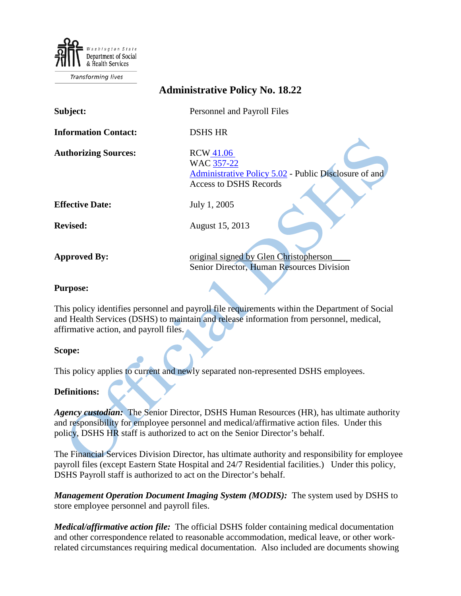Department of Social & Health Services

Transforming lives

| <b>Administrative Policy No. 18.22</b> |                                                                                                                          |
|----------------------------------------|--------------------------------------------------------------------------------------------------------------------------|
| Subject:                               | Personnel and Payroll Files                                                                                              |
| <b>Information Contact:</b>            | <b>DSHS HR</b>                                                                                                           |
| <b>Authorizing Sources:</b>            | <b>RCW 41.06</b><br>WAC 357-22<br>Administrative Policy 5.02 - Public Disclosure of and<br><b>Access to DSHS Records</b> |
| <b>Effective Date:</b>                 | July 1, 2005                                                                                                             |
| <b>Revised:</b>                        | August 15, 2013                                                                                                          |
| <b>Approved By:</b>                    | original signed by Glen Christopherson<br>Senior Director, Human Resources Division                                      |
| <b>Purpose:</b>                        |                                                                                                                          |

#### **Purpose:**

This policy identifies personnel and payroll file requirements within the Department of Social and Health Services (DSHS) to maintain and release information from personnel, medical, affirmative action, and payroll files.

### **Scope:**

This policy applies to current and newly separated non-represented DSHS employees.

### **Definitions:**

*Agency custodian:*The Senior Director, DSHS Human Resources (HR), has ultimate authority and responsibility for employee personnel and medical/affirmative action files. Under this policy, DSHS HR staff is authorized to act on the Senior Director's behalf.

The Financial Services Division Director, has ultimate authority and responsibility for employee payroll files (except Eastern State Hospital and 24/7 Residential facilities.) Under this policy, DSHS Payroll staff is authorized to act on the Director's behalf.

*Management Operation Document Imaging System (MODIS):* The system used by DSHS to store employee personnel and payroll files.

*Medical/affirmative action file:* The official DSHS folder containing medical documentation and other correspondence related to reasonable accommodation, medical leave, or other workrelated circumstances requiring medical documentation. Also included are documents showing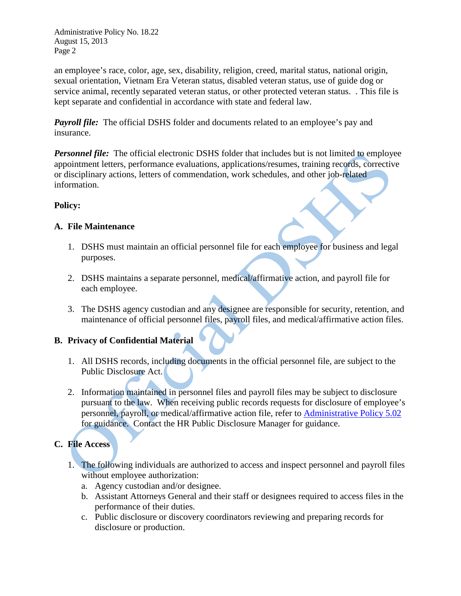Administrative Policy No. 18.22 August 15, 2013 Page 2

an employee's race, color, age, sex, disability, religion, creed, marital status, national origin, sexual orientation, Vietnam Era Veteran status, disabled veteran status, use of guide dog or service animal, recently separated veteran status, or other protected veteran status. . This file is kept separate and confidential in accordance with state and federal law.

*Payroll file:* The official DSHS folder and documents related to an employee's pay and insurance.

*Personnel file:* The official electronic DSHS folder that includes but is not limited to employee appointment letters, performance evaluations, applications/resumes, training records, corrective or disciplinary actions, letters of commendation, work schedules, and other job-related information.

## **Policy:**

## **A. File Maintenance**

- 1. DSHS must maintain an official personnel file for each employee for business and legal purposes.
- 2. DSHS maintains a separate personnel, medical/affirmative action, and payroll file for each employee.
- 3. The DSHS agency custodian and any designee are responsible for security, retention, and maintenance of official personnel files, payroll files, and medical/affirmative action files.

## **B. Privacy of Confidential Material**

- 1. All DSHS records, including documents in the official personnel file, are subject to the Public Disclosure Act.
- 2. Information maintained in personnel files and payroll files may be subject to disclosure pursuant to the law. When receiving public records requests for disclosure of employee's personnel, payroll, or medical/affirmative action file, refer to [Administrative Policy 5.02](http://one.dshs.wa.lcl/Policies/Administrative/DSHS-AP-05-02.pdf) for guidance. Contact the HR Public Disclosure Manager for guidance.

# **C. File Access**

- 1. The following individuals are authorized to access and inspect personnel and payroll files without employee authorization:
	- a. Agency custodian and/or designee.
	- b. Assistant Attorneys General and their staff or designees required to access files in the performance of their duties.
	- c. Public disclosure or discovery coordinators reviewing and preparing records for disclosure or production.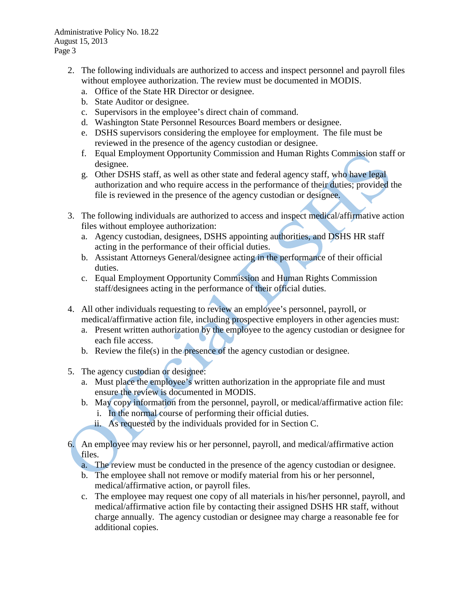- 2. The following individuals are authorized to access and inspect personnel and payroll files without employee authorization. The review must be documented in MODIS.
	- a. Office of the State HR Director or designee.
	- b. State Auditor or designee.
	- c. Supervisors in the employee's direct chain of command.
	- d. Washington State Personnel Resources Board members or designee.
	- e. DSHS supervisors considering the employee for employment. The file must be reviewed in the presence of the agency custodian or designee.
	- f. Equal Employment Opportunity Commission and Human Rights Commission staff or designee.
	- g. Other DSHS staff, as well as other state and federal agency staff, who have legal authorization and who require access in the performance of their duties; provided the file is reviewed in the presence of the agency custodian or designee.
- 3. The following individuals are authorized to access and inspect medical/affirmative action files without employee authorization:
	- a. Agency custodian, designees, DSHS appointing authorities, and DSHS HR staff acting in the performance of their official duties.
	- b. Assistant Attorneys General/designee acting in the performance of their official duties.
	- c. Equal Employment Opportunity Commission and Human Rights Commission staff/designees acting in the performance of their official duties.
- 4. All other individuals requesting to review an employee's personnel, payroll, or medical/affirmative action file, including prospective employers in other agencies must:
	- a. Present written authorization by the employee to the agency custodian or designee for each file access.
	- b. Review the file(s) in the presence of the agency custodian or designee.
- 5. The agency custodian or designee:
	- a. Must place the employee's written authorization in the appropriate file and must ensure the review is documented in MODIS.
	- b. May copy information from the personnel, payroll, or medical/affirmative action file:
		- i. In the normal course of performing their official duties.
		- ii. As requested by the individuals provided for in Section C.
- 6. An employee may review his or her personnel, payroll, and medical/affirmative action files.
	- a. The review must be conducted in the presence of the agency custodian or designee.
	- b. The employee shall not remove or modify material from his or her personnel, medical/affirmative action, or payroll files.
	- c. The employee may request one copy of all materials in his/her personnel, payroll, and medical/affirmative action file by contacting their assigned DSHS HR staff, without charge annually. The agency custodian or designee may charge a reasonable fee for additional copies.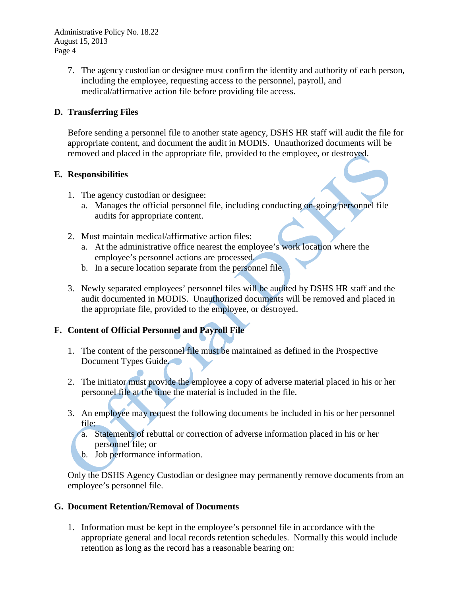Administrative Policy No. 18.22 August 15, 2013 Page 4

> 7. The agency custodian or designee must confirm the identity and authority of each person, including the employee, requesting access to the personnel, payroll, and medical/affirmative action file before providing file access.

## **D. Transferring Files**

Before sending a personnel file to another state agency, DSHS HR staff will audit the file for appropriate content, and document the audit in MODIS. Unauthorized documents will be removed and placed in the appropriate file, provided to the employee, or destroyed.

## **E. Responsibilities**

- 1. The agency custodian or designee:
	- a. Manages the official personnel file, including conducting on-going personnel file audits for appropriate content.
- 2. Must maintain medical/affirmative action files:
	- a. At the administrative office nearest the employee's work location where the employee's personnel actions are processed.
	- b. In a secure location separate from the personnel file.
- 3. Newly separated employees' personnel files will be audited by DSHS HR staff and the audit documented in MODIS. Unauthorized documents will be removed and placed in the appropriate file, provided to the employee, or destroyed.

## **F. Content of Official Personnel and Payroll File**

- 1. The content of the personnel file must be maintained as defined in the Prospective Document Types Guide.
- 2. The initiator must provide the employee a copy of adverse material placed in his or her personnel file at the time the material is included in the file.
- 3. An employee may request the following documents be included in his or her personnel file:
	- a. Statements of rebuttal or correction of adverse information placed in his or her personnel file; or
	- b. Job performance information.

Only the DSHS Agency Custodian or designee may permanently remove documents from an employee's personnel file.

## **G. Document Retention/Removal of Documents**

1. Information must be kept in the employee's personnel file in accordance with the appropriate general and local records retention schedules. Normally this would include retention as long as the record has a reasonable bearing on: